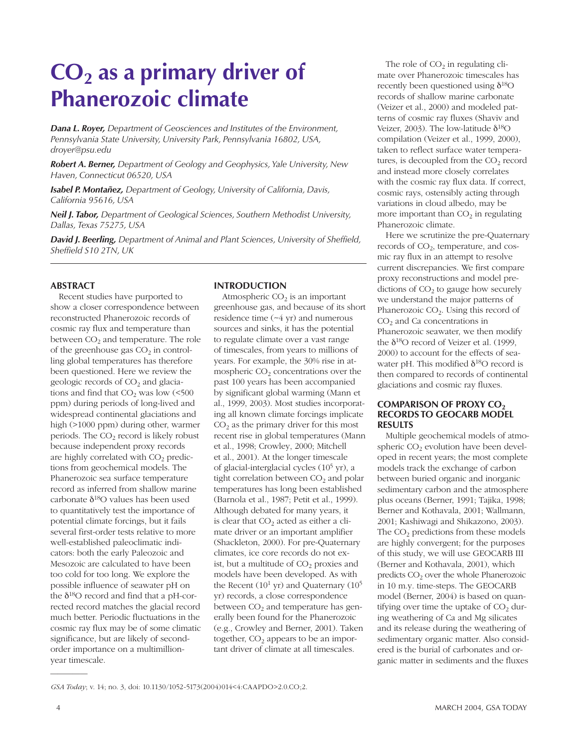## **CO<sub>2</sub>** as a primary driver of **Phanerozoic climate**

*Dana L. Royer, Department of Geosciences and Institutes of the Environment, Pennsylvania State University, University Park, Pennsylvania 16802, USA, droyer@psu.edu*

*Robert A. Berner, Department of Geology and Geophysics, Yale University, New Haven, Connecticut 06520, USA*

*Isabel P. Montañez, Department of Geology, University of California, Davis, California 95616, USA*

*Neil J. Tabor, Department of Geological Sciences, Southern Methodist University, Dallas, Texas 75275, USA*

*David J. Beerling, Department of Animal and Plant Sciences, University of Sheffield, Sheffield S10 2TN, UK*

#### **ABSTRACT**

Recent studies have purported to show a closer correspondence between reconstructed Phanerozoic records of cosmic ray flux and temperature than between  $CO<sub>2</sub>$  and temperature. The role of the greenhouse gas  $CO<sub>2</sub>$  in controlling global temperatures has therefore been questioned. Here we review the geologic records of  $CO<sub>2</sub>$  and glaciations and find that  $CO<sub>2</sub>$  was low (<500) ppm) during periods of long-lived and widespread continental glaciations and high (>1000 ppm) during other, warmer periods. The  $CO<sub>2</sub>$  record is likely robust because independent proxy records are highly correlated with  $CO<sub>2</sub>$  predictions from geochemical models. The Phanerozoic sea surface temperature record as inferred from shallow marine carbonate  $\delta^{18}O$  values has been used to quantitatively test the importance of potential climate forcings, but it fails several first-order tests relative to more well-established paleoclimatic indicators: both the early Paleozoic and Mesozoic are calculated to have been too cold for too long. We explore the possible influence of seawater pH on the  $\delta^{18}$ O record and find that a pH-corrected record matches the glacial record much better. Periodic fluctuations in the cosmic ray flux may be of some climatic significance, but are likely of secondorder importance on a multimillionyear timescale.

#### **INTRODUCTION**

Atmospheric  $CO<sub>2</sub>$  is an important greenhouse gas, and because of its short residence time (~4 yr) and numerous sources and sinks, it has the potential to regulate climate over a vast range of timescales, from years to millions of years. For example, the 30% rise in atmospheric  $CO<sub>2</sub>$  concentrations over the past 100 years has been accompanied by significant global warming (Mann et al., 1999, 2003). Most studies incorporating all known climate forcings implicate  $CO<sub>2</sub>$  as the primary driver for this most recent rise in global temperatures (Mann et al., 1998; Crowley, 2000; Mitchell et al., 2001). At the longer timescale of glacial-interglacial cycles (105 yr), a tight correlation between  $CO<sub>2</sub>$  and polar temperatures has long been established (Barnola et al., 1987; Petit et al., 1999). Although debated for many years, it is clear that  $CO<sub>2</sub>$  acted as either a climate driver or an important amplifier (Shackleton, 2000). For pre-Quaternary climates, ice core records do not exist, but a multitude of  $CO<sub>2</sub>$  proxies and models have been developed. As with the Recent  $(10^1 \text{ yr})$  and Quaternary  $(10^5 \text{ m})$ yr) records, a close correspondence between  $CO<sub>2</sub>$  and temperature has generally been found for the Phanerozoic (e.g., Crowley and Berner, 2001). Taken together,  $CO<sub>2</sub>$  appears to be an important driver of climate at all timescales.

The role of  $CO<sub>2</sub>$  in regulating climate over Phanerozoic timescales has recently been questioned using  $\delta^{18}O$ records of shallow marine carbonate (Veizer et al., 2000) and modeled patterns of cosmic ray fluxes (Shaviv and Veizer, 2003). The low-latitude  $\delta^{18}O$ compilation (Veizer et al., 1999, 2000), taken to reflect surface water temperatures, is decoupled from the  $CO<sub>2</sub>$  record and instead more closely correlates with the cosmic ray flux data. If correct, cosmic rays, ostensibly acting through variations in cloud albedo, may be more important than  $CO<sub>2</sub>$  in regulating Phanerozoic climate.

Here we scrutinize the pre-Quaternary records of  $CO<sub>2</sub>$ , temperature, and cosmic ray flux in an attempt to resolve current discrepancies. We first compare proxy reconstructions and model predictions of  $CO<sub>2</sub>$  to gauge how securely we understand the major patterns of Phanerozoic  $CO<sub>2</sub>$ . Using this record of CO<sub>2</sub> and Ca concentrations in Phanerozoic seawater, we then modify the  $\delta^{18}$ O record of Veizer et al. (1999, 2000) to account for the effects of seawater pH. This modified  $\delta^{18}O$  record is then compared to records of continental glaciations and cosmic ray fluxes.

#### **COMPARISON OF PROXY CO<sub>2</sub> RECORDS TO GEOCARB MODEL RESULTS**

Multiple geochemical models of atmospheric  $CO<sub>2</sub>$  evolution have been developed in recent years; the most complete models track the exchange of carbon between buried organic and inorganic sedimentary carbon and the atmosphere plus oceans (Berner, 1991; Tajika, 1998; Berner and Kothavala, 2001; Wallmann, 2001; Kashiwagi and Shikazono, 2003). The  $CO<sub>2</sub>$  predictions from these models are highly convergent; for the purposes of this study, we will use GEOCARB III (Berner and Kothavala, 2001), which predicts  $CO<sub>2</sub>$  over the whole Phanerozoic in 10 m.y. time-steps. The GEOCARB model (Berner, 2004) is based on quantifying over time the uptake of  $CO<sub>2</sub>$  during weathering of Ca and Mg silicates and its release during the weathering of sedimentary organic matter. Also considered is the burial of carbonates and organic matter in sediments and the fluxes

—————

*GSA Today*; v. 14; no. 3, doi: 10.1130/1052-5173(2004)014<4:CAAPDO>2.0.CO;2.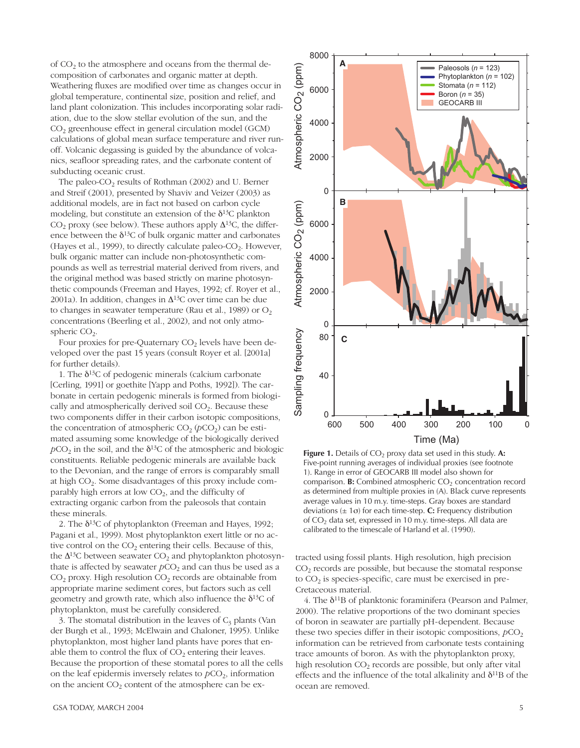of CO<sub>2</sub> to the atmosphere and oceans from the thermal decomposition of carbonates and organic matter at depth. Weathering fluxes are modified over time as changes occur in global temperature, continental size, position and relief, and land plant colonization. This includes incorporating solar radiation, due to the slow stellar evolution of the sun, and the CO<sub>2</sub> greenhouse effect in general circulation model (GCM) calculations of global mean surface temperature and river runoff. Volcanic degassing is guided by the abundance of volcanics, seafloor spreading rates, and the carbonate content of subducting oceanic crust.

The paleo-CO<sub>2</sub> results of Rothman (2002) and U. Berner and Streif (2001), presented by Shaviv and Veizer (2003) as additional models, are in fact not based on carbon cycle modeling, but constitute an extension of the  $\delta^{13}C$  plankton  $CO<sub>2</sub>$  proxy (see below). These authors apply  $\Delta^{13}C$ , the difference between the  $\delta^{13}C$  of bulk organic matter and carbonates (Hayes et al., 1999), to directly calculate paleo-CO<sub>2</sub>. However, bulk organic matter can include non-photosynthetic compounds as well as terrestrial material derived from rivers, and the original method was based strictly on marine photosynthetic compounds (Freeman and Hayes, 1992; cf. Royer et al., 2001a). In addition, changes in  $\Delta^{13}$ C over time can be due to changes in seawater temperature (Rau et al., 1989) or  $O<sub>2</sub>$ concentrations (Beerling et al., 2002), and not only atmospheric  $CO<sub>2</sub>$ .

Four proxies for pre-Quaternary CO<sub>2</sub> levels have been developed over the past 15 years (consult Royer et al. [2001a] for further details).

1. The  $\delta^{13}$ C of pedogenic minerals (calcium carbonate [Cerling, 1991] or goethite [Yapp and Poths, 1992]). The carbonate in certain pedogenic minerals is formed from biologically and atmospherically derived soil CO<sub>2</sub>. Because these two components differ in their carbon isotopic compositions, the concentration of atmospheric  $CO_2(pCO_2)$  can be estimated assuming some knowledge of the biologically derived  $pCO<sub>2</sub>$  in the soil, and the  $\delta^{13}C$  of the atmospheric and biologic constituents. Reliable pedogenic minerals are available back to the Devonian, and the range of errors is comparably small at high  $CO<sub>2</sub>$ . Some disadvantages of this proxy include comparably high errors at low  $CO<sub>2</sub>$ , and the difficulty of extracting organic carbon from the paleosols that contain these minerals.

2. The  $\delta^{13}$ C of phytoplankton (Freeman and Hayes, 1992; Pagani et al., 1999). Most phytoplankton exert little or no active control on the  $CO<sub>2</sub>$  entering their cells. Because of this, the  $\Delta^{13}$ C between seawater CO<sub>2</sub> and phytoplankton photosynthate is affected by seawater  $pCO<sub>2</sub>$  and can thus be used as a CO<sub>2</sub> proxy. High resolution CO<sub>2</sub> records are obtainable from appropriate marine sediment cores, but factors such as cell geometry and growth rate, which also influence the  $\delta^{13}C$  of phytoplankton, must be carefully considered.

3. The stomatal distribution in the leaves of  $C_3$  plants (Van der Burgh et al., 1993; McElwain and Chaloner, 1995). Unlike phytoplankton, most higher land plants have pores that enable them to control the flux of  $CO<sub>2</sub>$  entering their leaves. Because the proportion of these stomatal pores to all the cells on the leaf epidermis inversely relates to  $pCO<sub>2</sub>$ , information on the ancient  $CO<sub>2</sub>$  content of the atmosphere can be ex-



Figure 1. Details of  $CO<sub>2</sub>$  proxy data set used in this study. A: Five-point running averages of individual proxies (see footnote 1). Range in error of GEOCARB III model also shown for comparison. **B:** Combined atmospheric  $CO<sub>2</sub>$  concentration record as determined from multiple proxies in (A). Black curve represents average values in 10 m.y. time-steps. Gray boxes are standard deviations  $(\pm 1\sigma)$  for each time-step. C: Frequency distribution of  $CO<sub>2</sub>$  data set, expressed in 10 m.y. time-steps. All data are calibrated to the timescale of Harland et al. (1990).

tracted using fossil plants. High resolution, high precision  $CO<sub>2</sub>$  records are possible, but because the stomatal response to  $CO<sub>2</sub>$  is species-specific, care must be exercised in pre-Cretaceous material.

4. The  $\delta^{11}B$  of planktonic foraminifera (Pearson and Palmer, 2000). The relative proportions of the two dominant species of boron in seawater are partially pH-dependent. Because these two species differ in their isotopic compositions,  $pCO<sub>2</sub>$ information can be retrieved from carbonate tests containing trace amounts of boron. As with the phytoplankton proxy, high resolution CO<sub>2</sub> records are possible, but only after vital effects and the influence of the total alkalinity and  $\delta^{11}B$  of the ocean are removed.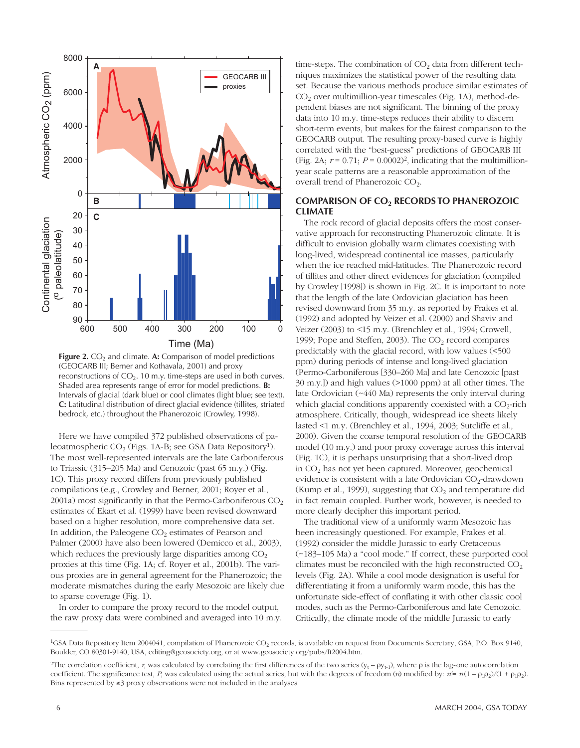

**Figure 2.** CO<sub>2</sub> and climate. A: Comparison of model predictions (GEOCARB III; Berner and Kothavala, 2001) and proxy reconstructions of  $CO<sub>2</sub>$ . 10 m.y. time-steps are used in both curves. Shaded area represents range of error for model predictions. **B:** Intervals of glacial (dark blue) or cool climates (light blue; see text). **C:** Latitudinal distribution of direct glacial evidence (tillites, striated bedrock, etc.) throughout the Phanerozoic (Crowley, 1998).

Here we have compiled 372 published observations of paleoatmospheric CO<sub>2</sub> (Figs. 1A-B; see GSA Data Repository<sup>1</sup>). The most well-represented intervals are the late Carboniferous (Fig.  $\frac{1}{2}$ ). to Triassic (315–205 Ma) and Cenozoic (past 65 m.y.) (Fig. 1C). This proxy record differs from previously published compilations (e.g., Crowley and Berner, 2001; Royer et al., 2001a) most significantly in that the Permo-Carboniferous  $CO<sub>2</sub>$ estimates of Ekart et al. (1999) have been revised downward based on a higher resolution, more comprehensive data set. In addition, the Paleogene  $CO<sub>2</sub>$  estimates of Pearson and Palmer (2000) have also been lowered (Demicco et al., 2003), which reduces the previously large disparities among  $CO<sub>2</sub>$ proxies at this time (Fig. 1A; cf. Royer et al., 2001b). The various proxies are in general agreement for the Phanerozoic; the moderate mismatches during the early Mesozoic are likely due to sparse coverage (Fig. 1).

In order to compare the proxy record to the model output, the raw proxy data were combined and averaged into 10 m.y.

time-steps. The combination of  $CO<sub>2</sub>$  data from different techniques maximizes the statistical power of the resulting data set. Because the various methods produce similar estimates of  $CO<sub>2</sub>$  over multimillion-year timescales (Fig. 1A), method-dependent biases are not significant. The binning of the proxy data into 10 m.y. time-steps reduces their ability to discern short-term events, but makes for the fairest comparison to the GEOCARB output. The resulting proxy-based curve is highly correlated with the "best-guess" predictions of GEOCARB III (Fig. 2A;  $r = 0.71$ ;  $P = 0.0002$ )<sup>2</sup>, indicating that the multimillionyear scale patterns are a reasonable approximation of the overall trend of Phanerozoic CO<sub>2</sub>.

#### **COMPARISON OF CO2 RECORDS TO PHANEROZOIC CLIMATE**

The rock record of glacial deposits offers the most conservative approach for reconstructing Phanerozoic climate. It is difficult to envision globally warm climates coexisting with long-lived, widespread continental ice masses, particularly when the ice reached mid-latitudes. The Phanerozoic record of tillites and other direct evidences for glaciation (compiled by Crowley [1998]) is shown in Fig. 2C. It is important to note that the length of the late Ordovician glaciation has been revised downward from 35 m.y. as reported by Frakes et al. (1992) and adopted by Veizer et al. (2000) and Shaviv and Veizer (2003) to <15 m.y. (Brenchley et al., 1994; Crowell, 1999; Pope and Steffen, 2003). The  $CO<sub>2</sub>$  record compares predictably with the glacial record, with low values (<500 ppm) during periods of intense and long-lived glaciation (Permo-Carboniferous [330–260 Ma] and late Cenozoic [past 30 m.y.]) and high values (>1000 ppm) at all other times. The late Ordovician (~440 Ma) represents the only interval during which glacial conditions apparently coexisted with a  $CO<sub>2</sub>$ -rich atmosphere. Critically, though, widespread ice sheets likely lasted <1 m.y. (Brenchley et al., 1994, 2003; Sutcliffe et al., 2000). Given the coarse temporal resolution of the GEOCARB model (10 m.y.) and poor proxy coverage across this interval (Fig. 1C), it is perhaps unsurprising that a short-lived drop in  $CO<sub>2</sub>$  has not yet been captured. Moreover, geochemical evidence is consistent with a late Ordovician  $CO<sub>2</sub>$ -drawdown (Kump et al., 1999), suggesting that  $CO<sub>2</sub>$  and temperature did in fact remain coupled. Further work, however, is needed to more clearly decipher this important period.

The traditional view of a uniformly warm Mesozoic has been increasingly questioned. For example, Frakes et al. (1992) consider the middle Jurassic to early Cretaceous (~183–105 Ma) a "cool mode." If correct, these purported cool climates must be reconciled with the high reconstructed  $CO<sub>2</sub>$ levels (Fig. 2A). While a cool mode designation is useful for differentiating it from a uniformly warm mode, this has the unfortunate side-effect of conflating it with other classic cool modes, such as the Permo-Carboniferous and late Cenozoic. Critically, the climate mode of the middle Jurassic to early

—————

<sup>&</sup>lt;sup>1</sup>GSA Data Repository Item 2004041, compilation of Phanerozoic CO<sub>2</sub> records, is available on request from Documents Secretary, GSA, P.O. Box 9140, Boulder, CO 80301-9140, USA, editing@geosociety.org, or at www.geosociety.org/pubs/ft2004.htm.

<sup>&</sup>lt;sup>2</sup>The correlation coefficient, *r*, was calculated by correlating the first differences of the two series  $(y_t - ρ_{t-1})$ , where  $ρ$  is the lag-one autocorrelation coefficient. The significance test, *P*, was calculated using the actual series, but with the degrees of freedom (*n*) modified by:  $n' = n(1 - \rho_1 \rho_2)/(1 + \rho_1 \rho_2)$ . Bins represented by  $\leq$ 3 proxy observations were not included in the analyses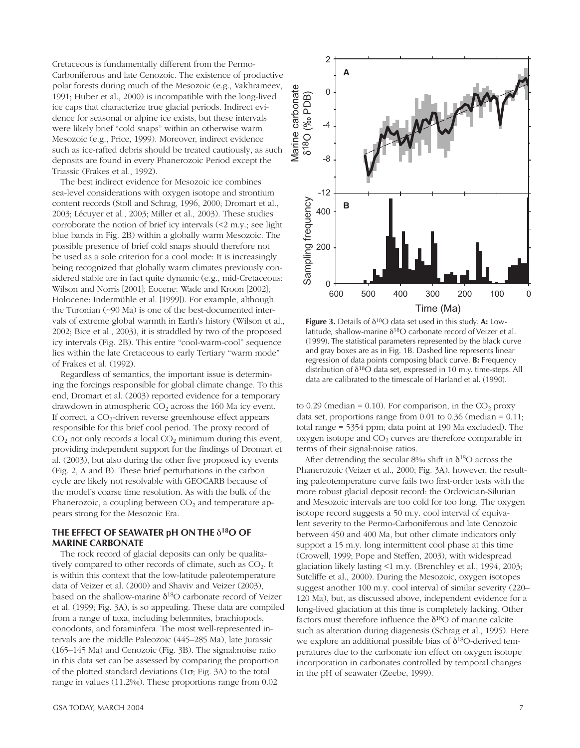Cretaceous is fundamentally different from the Permo-Carboniferous and late Cenozoic. The existence of productive polar forests during much of the Mesozoic (e.g., Vakhrameev, 1991; Huber et al., 2000) is incompatible with the long-lived ice caps that characterize true glacial periods. Indirect evidence for seasonal or alpine ice exists, but these intervals were likely brief "cold snaps" within an otherwise warm Mesozoic (e.g., Price, 1999). Moreover, indirect evidence such as ice-rafted debris should be treated cautiously, as such deposits are found in every Phanerozoic Period except the Triassic (Frakes et al., 1992).

The best indirect evidence for Mesozoic ice combines sea-level considerations with oxygen isotope and strontium content records (Stoll and Schrag, 1996, 2000; Dromart et al., 2003; Lécuyer et al., 2003; Miller et al., 2003). These studies corroborate the notion of brief icy intervals (<2 m.y.; see light blue bands in Fig. 2B) within a globally warm Mesozoic. The possible presence of brief cold snaps should therefore not be used as a sole criterion for a cool mode: It is increasingly being recognized that globally warm climates previously considered stable are in fact quite dynamic (e.g., mid-Cretaceous: Wilson and Norris [2001]; Eocene: Wade and Kroon [2002]; Holocene: Indermühle et al. [1999]). For example, although the Turonian (~90 Ma) is one of the best-documented intervals of extreme global warmth in Earth's history (Wilson et al., 2002; Bice et al., 2003), it is straddled by two of the proposed icy intervals (Fig. 2B). This entire "cool-warm-cool" sequence lies within the late Cretaceous to early Tertiary "warm mode" of Frakes et al. (1992).

Regardless of semantics, the important issue is determining the forcings responsible for global climate change. To this end, Dromart et al. (2003) reported evidence for a temporary drawdown in atmospheric  $CO<sub>2</sub>$  across the 160 Ma icy event. If correct, a  $CO<sub>2</sub>$ -driven reverse greenhouse effect appears responsible for this brief cool period. The proxy record of  $CO<sub>2</sub>$  not only records a local  $CO<sub>2</sub>$  minimum during this event, providing independent support for the findings of Dromart et al. (2003), but also during the other five proposed icy events (Fig. 2, A and B). These brief perturbations in the carbon cycle are likely not resolvable with GEOCARB because of the model's coarse time resolution. As with the bulk of the Phanerozoic, a coupling between  $CO<sub>2</sub>$  and temperature appears strong for the Mesozoic Era.

#### **THE EFFECT OF SEAWATER pH ON THE** δ**18O OF MARINE CARBONATE**

The rock record of glacial deposits can only be qualitatively compared to other records of climate, such as  $CO<sub>2</sub>$ . It is within this context that the low-latitude paleotemperature data of Veizer et al. (2000) and Shaviv and Veizer (2003), based on the shallow-marine  $\delta^{18}O$  carbonate record of Veizer et al. (1999; Fig. 3A), is so appealing. These data are compiled from a range of taxa, including belemnites, brachiopods, conodonts, and foraminfera. The most well-represented intervals are the middle Paleozoic (445–285 Ma), late Jurassic (165–145 Ma) and Cenozoic (Fig. 3B). The signal:noise ratio in this data set can be assessed by comparing the proportion of the plotted standard deviations (1σ; Fig. 3A) to the total range in values (11.2‰). These proportions range from 0.02



distribution of  $\delta^{18}O$  data set, expressed in 10 m.y. time-steps. All data are calibrated to the timescale of Harland et al. (1990). **Figure 3.** Details of δ18O data set used in this study. **A:** Lowlatitude, shallow-marine  $\delta^{18}O$  carbonate record of Veizer et al. (1999). The statistical parameters represented by the black curve and gray boxes are as in Fig. 1B. Dashed line represents linear regression of data points composing black curve. **B:** Frequency

to 0.29 (median = 0.10). For comparison, in the  $CO<sub>2</sub>$  proxy data set, proportions range from 0.01 to 0.36 (median = 0.11; total range = 5354 ppm; data point at 190 Ma excluded). The oxygen isotope and  $CO<sub>2</sub>$  curves are therefore comparable in terms of their signal:noise ratios.

After detrending the secular  $8\%$  shift in  $\delta^{18}O$  across the Phanerozoic (Veizer et al., 2000; Fig. 3A), however, the resulting paleotemperature curve fails two first-order tests with the more robust glacial deposit record: the Ordovician-Silurian and Mesozoic intervals are too cold for too long. The oxygen isotope record suggests a 50 m.y. cool interval of equivalent severity to the Permo-Carboniferous and late Cenozoic between 450 and 400 Ma, but other climate indicators only support a 15 m.y. long intermittent cool phase at this time (Crowell, 1999; Pope and Steffen, 2003), with widespread glaciation likely lasting <1 m.y. (Brenchley et al., 1994, 2003; Sutcliffe et al., 2000). During the Mesozoic, oxygen isotopes suggest another 100 m.y. cool interval of similar severity (220– 120 Ma), but, as discussed above, independent evidence for a long-lived glaciation at this time is completely lacking. Other factors must therefore influence the  $\delta^{18}O$  of marine calcite such as alteration during diagenesis (Schrag et al., 1995). Here we explore an additional possible bias of  $\delta^{18}$ O-derived temperatures due to the carbonate ion effect on oxygen isotope incorporation in carbonates controlled by temporal changes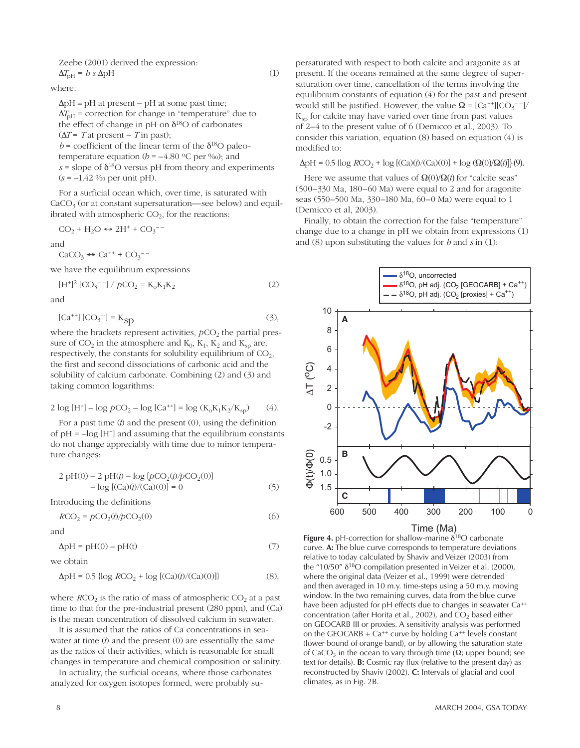Zeebe (2001) derived the expression:  

$$
\Delta T_{\text{pH}} = b s \Delta \text{pH}
$$

where:

 $\Delta pH = pH$  at present – pH at some past time;  $\Delta T_{\text{pH}}$  = correction for change in "temperature" due to the effect of change in pH on  $\delta^{18}$ O of carbonates  $(\Delta T = Tat present - Tin past);$  $b$  = coefficient of the linear term of the  $\delta^{18}$ O paleotemperature equation  $(b = -4.80 \degree C \text{ per } \%$ ); and  $s =$  slope of  $\delta^{18}$ O versus pH from theory and experiments

 $(1)$ 

For a surficial ocean which, over time, is saturated with  $CaCO<sub>3</sub>$  (or at constant supersaturation—see below) and equilibrated with atmospheric  $CO<sub>2</sub>$ , for the reactions:

$$
CO_2 + H_2O \leftrightarrow 2H^+ + CO_3^{--}
$$

 $(s = -1.42\%$  per unit pH).

and

 $CaCO<sub>3</sub> \leftrightarrow Ca<sup>++</sup> + CO<sub>3</sub><sup>--</sup>$ 

we have the equilibrium expressions

$$
[H^+]^2 [CO_3^{--}] / pCO_2 = K_0 K_1 K_2
$$
 (2)

and

$$
[Ca^{++}] [CO_3^{-}] = K_{SD}
$$
 (3),

where the brackets represent activities,  $pCO<sub>2</sub>$  the partial pressure of  $CO_2$  in the atmosphere and  $K_0$ ,  $K_1$ ,  $K_2$  and  $K_{so}$  are, respectively, the constants for solubility equilibrium of  $CO<sub>2</sub>$ , the first and second dissociations of carbonic acid and the solubility of calcium carbonate. Combining (2) and (3) and taking common logarithms:

$$
2 \log[H^{+}] - \log p \text{CO}_{2} - \log [Ca^{++}] = \log (K_{0}K_{1}K_{2}/K_{sp}) \tag{4}
$$

For a past time  $(t)$  and the present  $(0)$ , using the definition of  $pH = -log[H^+]$  and assuming that the equilibrium constants do not change appreciably with time due to minor temperature changes:

$$
2 pH(0) - 2 pH(t) - log [pCO2(t)/pCO2(0)]- log [(Ca)(t)/(Ca)(0)] = 0
$$
 (5)

Introducing the definitions

$$
RCO_2 = pCO_2(t)/pCO_2(0)
$$
\n<sup>(6)</sup>

and

 $\Delta pH = pH(0) - pH(t)$  $(7)$ 

we obtain

$$
\Delta pH = 0.5 \{\log RCO_2 + \log [(Ca)(t)/(Ca)(0)]\}\tag{8},
$$

where  $RCO<sub>2</sub>$  is the ratio of mass of atmospheric  $CO<sub>2</sub>$  at a past time to that for the pre-industrial present (280 ppm), and (Ca) is the mean concentration of dissolved calcium in seawater.

It is assumed that the ratios of Ca concentrations in seawater at time  $(t)$  and the present  $(0)$  are essentially the same as the ratios of their activities, which is reasonable for small changes in temperature and chemical composition or salinity.

In actuality, the surficial oceans, where those carbonates analyzed for oxygen isotopes formed, were probably supersaturated with respect to both calcite and aragonite as at present. If the oceans remained at the same degree of supersaturation over time, cancellation of the terms involving the equilibrium constants of equation (4) for the past and present would still be justified. However, the value  $\Omega = [Ca^{++}][CO_3^{--}]/$  $K_{\rm{sn}}$  for calcite may have varied over time from past values of 2–4 to the present value of 6 (Demicco et al., 2003). To consider this variation, equation (8) based on equation (4) is modified to:

 $\Delta pH = 0.5 \{\log RCO_2 + \log [(Ca)(t)/(Ca)(0)] + \log (Q(0)/Q(t)]\}$ (9).

Here we assume that values of  $\Omega(0)/\Omega(t)$  for "calcite seas" (500-330 Ma, 180-60 Ma) were equal to 2 and for aragonite seas (550–500 Ma, 330–180 Ma, 60–0 Ma) were equal to 1 (Demicco et al, 2003).

Finally, to obtain the correction for the false "temperature" change due to a change in  $pH$  we obtain from expressions  $(1)$ and (8) upon substituting the values for  $b$  and  $s$  in (1):



Figure 4. pH-correction for shallow-marine  $\delta^{18}O$  carbonate curve. A: The blue curve corresponds to temperature deviations relative to today calculated by Shaviv and Veizer (2003) from the "10/50"  $\delta^{18}O$  compilation presented in Veizer et al. (2000), where the original data (Veizer et al., 1999) were detrended and then averaged in 10 m.y. time-steps using a 50 m.y. moving window. In the two remaining curves, data from the blue curve have been adjusted for pH effects due to changes in seawater Ca<sup>++</sup> concentration (after Horita et al., 2002), and CO<sub>2</sub> based either on GEOCARB III or proxies. A sensitivity analysis was performed on the GEOCARB +  $Ca^{++}$  curve by holding  $Ca^{++}$  levels constant (lower bound of orange band), or by allowing the saturation state of CaCO<sub>3</sub> in the ocean to vary through time ( $\Omega$ ; upper bound; see text for details). **B:** Cosmic ray flux (relative to the present day) as reconstructed by Shaviv (2002). C: Intervals of glacial and cool climates, as in Fig. 2B.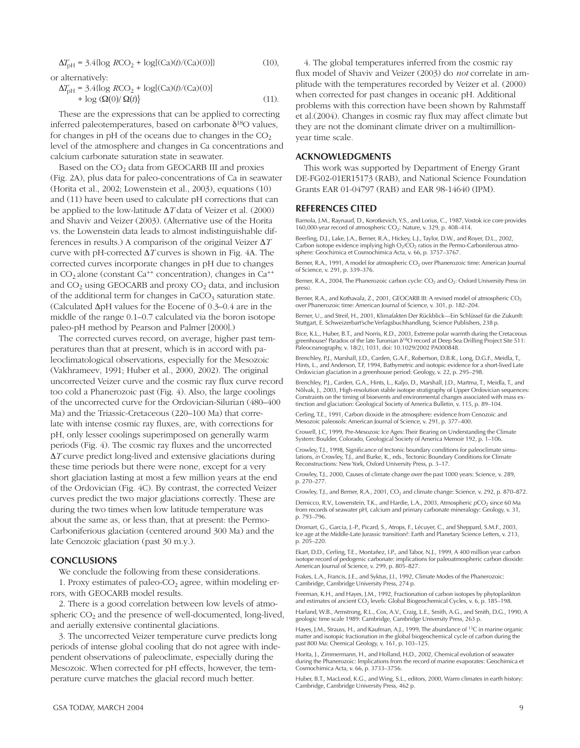$$
\Delta T_{\rm pH} = 3.4 \{ \log RCO_2 + \log[(Ca)(t)/(Ca)(0)] \} \tag{10}
$$

or alternatively:

$$
\Delta T_{\text{pH}} = 3.4 \{ \log RCO_2 + \log[(\text{Ca})(t)/(\text{Ca})(0)] + \log(\Omega(t)/\Omega(t) \} \tag{11}.
$$

These are the expressions that can be applied to correcting inferred paleotemperatures, based on carbonate  $\delta^{18}O$  values, for changes in pH of the oceans due to changes in the  $CO<sub>2</sub>$ level of the atmosphere and changes in Ca concentrations and calcium carbonate saturation state in seawater.

Based on the  $CO<sub>2</sub>$  data from GEOCARB III and proxies (Fig. 2A), plus data for paleo-concentrations of Ca in seawater (Horita et al., 2002; Lowenstein et al., 2003), equations (10) and (11) have been used to calculate pH corrections that can be applied to the low-latitude Δ*T* data of Veizer et al. (2000) and Shaviv and Veizer (2003). (Alternative use of the Horita vs. the Lowenstein data leads to almost indistinguishable differences in results.) A comparison of the original Veizer Δ*T* curve with pH-corrected Δ*T* curves is shown in Fig. 4A. The corrected curves incorporate changes in pH due to changes in CO<sub>2</sub> alone (constant Ca<sup>++</sup> concentration), changes in Ca<sup>++</sup> and  $CO<sub>2</sub>$  using GEOCARB and proxy  $CO<sub>2</sub>$  data, and inclusion of the additional term for changes in  $CaCO<sub>3</sub>$  saturation state. (Calculated ΔpH values for the Eocene of 0.3–0.4 are in the middle of the range 0.1–0.7 calculated via the boron isotope paleo-pH method by Pearson and Palmer [2000].)

The corrected curves record, on average, higher past temperatures than that at present, which is in accord with paleoclimatological observations, especially for the Mesozoic (Vakhrameev, 1991; Huber et al., 2000, 2002). The original uncorrected Veizer curve and the cosmic ray flux curve record too cold a Phanerozoic past (Fig. 4). Also, the large coolings of the uncorrected curve for the Ordovician-Silurian (480–400 Ma) and the Triassic-Cretaceous (220–100 Ma) that correlate with intense cosmic ray fluxes, are, with corrections for pH, only lesser coolings superimposed on generally warm periods (Fig. 4). The cosmic ray fluxes and the uncorrected Δ*T* curve predict long-lived and extensive glaciations during these time periods but there were none, except for a very short glaciation lasting at most a few million years at the end of the Ordovician (Fig. 4C). By contrast, the corrected Veizer curves predict the two major glaciations correctly. These are during the two times when low latitude temperature was about the same as, or less than, that at present: the Permo-Carboniferious glaciation (centered around 300 Ma) and the late Cenozoic glaciation (past 30 m.y.).

#### **CONCLUSIONS**

We conclude the following from these considerations.

1. Proxy estimates of paleo- $CO<sub>2</sub>$  agree, within modeling errors, with GEOCARB model results.

2. There is a good correlation between low levels of atmospheric  $CO<sub>2</sub>$  and the presence of well-documented, long-lived, and aerially extensive continental glaciations.

3. The uncorrected Veizer temperature curve predicts long periods of intense global cooling that do not agree with independent observations of paleoclimate, especially during the Mesozoic. When corrected for pH effects, however, the temperature curve matches the glacial record much better.

4. The global temperatures inferred from the cosmic ray flux model of Shaviv and Veizer (2003) do *not* correlate in amplitude with the temperatures recorded by Veizer et al. (2000) when corrected for past changes in oceanic pH. Additional problems with this correction have been shown by Rahmstaff et al.(2004). Changes in cosmic ray flux may affect climate but they are not the dominant climate driver on a multimillionyear time scale.

#### **ACKNOWLEDGMENTS**

This work was supported by Department of Energy Grant DE-FG02-01ER15173 (RAB), and National Science Foundation Grants EAR 01-04797 (RAB) and EAR 98-14640 (IPM).

#### **REFERENCES CITED**

Barnola, J.M., Raynaud, D., Korotkevich, Y.S., and Lorius, C., 1987, Vostok ice core provides 160,000-year record of atmospheric  $CO_2$ : Nature, v. 329, p. 408–414.

Beerling, D.J., Lake, J.A., Berner, R.A., Hickey, L.J., Taylor, D.W., and Royer, D.L., 2002, Carbon isotope evidence implying high  $O_2/CO_2$  ratios in the Permo-Carboniferous atmosphere: Geochimica et Cosmochimica Acta, v. 66, p. 3757–3767.

Berner, R.A., 1991, A model for atmospheric  $CO<sub>2</sub>$  over Phanerozoic time: American Journal of Science, v. 291, p. 339–376.

Berner, R.A., 2004, The Phanerozoic carbon cycle: CO<sub>2</sub> and O<sub>2</sub>: Oxford University Press (in press).

Berner, R.A., and Kothavala, Z., 2001, GEOCARB III: A revised model of atmospheric CO<sub>2</sub> over Phanerozoic time: American Journal of Science, v. 301, p. 182–204.

Berner, U., and Streif, H., 2001, Klimafakten Der Rückblick—Ein Schlüssel für die Zukunft: Stuttgart, E. Schweizerbart'sche Verlagsbuchhandlung, Science Publishers, 238 p.

Bice, K.L., Huber, B.T., and Norris, R.D., 2003, Extreme polar warmth during the Cretaceous greenhouse? Paradox of the late Turonian δ18O record at Deep Sea Drilling Project Site 511: Paleoceanography, v. 18(2), 1031, doi: 10.1029/2002 PA000848.

Brenchley, P.J., Marshall, J.D., Carden, G.A.F., Robertson, D.B.R., Long, D.G.F., Meidla, T., Hints, L., and Anderson, T.F, 1994, Bathymetric and isotopic evidence for a short-lived Late Ordovician glaciation in a greenhouse period: Geology, v. 22, p. 295–298.

Brenchley, P.J., Carden, G.A., Hints, L., Kaljo, D., Marshall, J.D., Martma, T., Meidla, T., and Nõlvak, J., 2003, High-resolution stable isotope stratigraphy of Upper Ordovician sequences: Constraints on the timing of bioevents and environmental changes associated with mass extinction and glaciation: Geological Society of America Bulletin, v. 115, p. 89–104.

Cerling, T.E., 1991, Carbon dioxide in the atmosphere: evidence from Cenozoic and Mesozoic paleosols: American Journal of Science, v. 291, p. 377–400.

Crowell, J.C, 1999, Pre-Mesozoic Ice Ages: Their Bearing on Understanding the Climate System: Boulder, Colorado, Geological Society of America Memoir 192, p. 1–106.

Crowley, T.J., 1998, Significance of tectonic boundary conditions for paleoclimate simulations, *in* Crowley, T.J., and Burke, K., eds., Tectonic Boundary Conditions for Climate Reconstructions: New York, Oxford University Press, p. 3–17.

Crowley, T.J., 2000, Causes of climate change over the past 1000 years: Science, v. 289, p. 270–277.

Crowley, T.J., and Berner, R.A., 2001, CO<sub>2</sub> and climate change: Science, v. 292, p. 870-872.

Demicco, R.V., Lowenstein, T.K., and Hardie, L.A., 2003, Atmospheric *pCO*<sub>2</sub> since 60 Ma from records of seawater pH, calcium and primary carbonate mineralogy: Geology, v. 31, p. 793–796.

Dromart, G., Garcia, J.-P., Picard, S., Atrops, F., Lécuyer, C., and Sheppard, S.M.F., 2003, Ice age at the Middle-Late Jurassic transition?: Earth and Planetary Science Letters, v. 213, p. 205–220.

Ekart, D.D., Cerling, T.E., Montañez, I.P., and Tabor, N.J., 1999, A 400 million year carbon isotope record of pedogenic carbonate: implications for paleoatmospheric carbon dioxide: American Journal of Science, v. 299, p. 805–827.

Frakes, L.A., Francis, J.E., and Syktus, J.I., 1992, Climate Modes of the Phanerozoic: Cambridge, Cambridge University Press, 274 p.

Freeman, K.H., and Hayes, J.M., 1992, Fractionation of carbon isotopes by phytoplankton and estimates of ancient  $CO<sub>2</sub>$  levels: Global Biogeochemical Cycles, v. 6, p. 185–198.

Harland, W.B., Armstrong, R.L., Cox, A.V., Craig, L.E., Smith, A.G., and Smith, D.G., 1990, A geologic time scale 1989: Cambridge, Cambridge University Press, 263 p.

Hayes, J.M., Strauss, H., and Kaufman, A.J., 1999, The abundance of <sup>13</sup>C in marine organic matter and isotopic fractionation in the global biogeochemical cycle of carbon during the past 800 Ma: Chemical Geology, v. 161, p. 103–125.

Horita, J., Zimmermann, H., and Holland, H.D., 2002, Chemical evolution of seawater during the Phanerozoic: Implications from the record of marine evaporates: Geochimica et Cosmochimica Acta, v. 66, p. 3733–3756.

Huber, B.T., MacLeod, K.G., and Wing, S.L., editors, 2000, Warm climates in earth history: Cambridge, Cambridge University Press, 462 p.